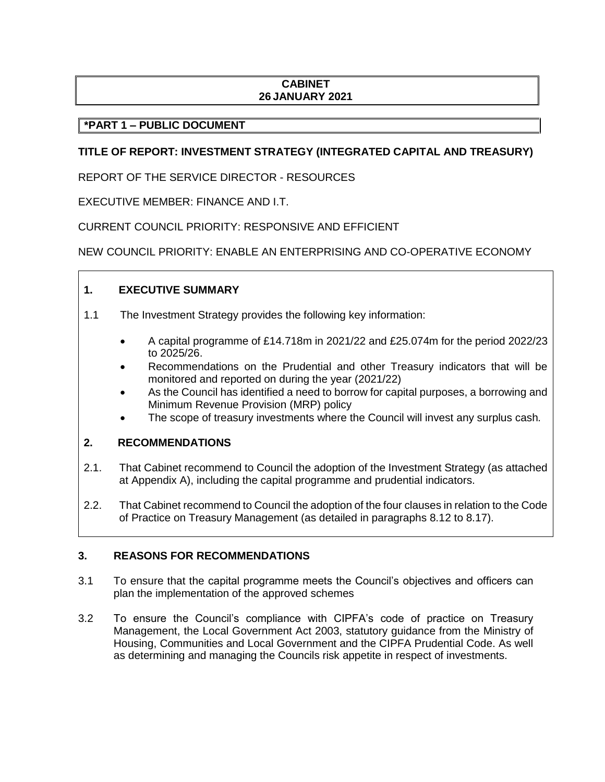# **CABINET 26 JANUARY 2021**

# **\*PART 1 – PUBLIC DOCUMENT**

# **TITLE OF REPORT: INVESTMENT STRATEGY (INTEGRATED CAPITAL AND TREASURY)**

REPORT OF THE SERVICE DIRECTOR - RESOURCES

EXECUTIVE MEMBER: FINANCE AND I.T.

CURRENT COUNCIL PRIORITY: RESPONSIVE AND EFFICIENT

NEW COUNCIL PRIORITY: ENABLE AN ENTERPRISING AND CO-OPERATIVE ECONOMY

# **1. EXECUTIVE SUMMARY**

- 1.1 The Investment Strategy provides the following key information:
	- A capital programme of £14.718m in 2021/22 and £25.074m for the period 2022/23 to 2025/26.
	- Recommendations on the Prudential and other Treasury indicators that will be monitored and reported on during the year (2021/22)
	- As the Council has identified a need to borrow for capital purposes, a borrowing and Minimum Revenue Provision (MRP) policy
	- The scope of treasury investments where the Council will invest any surplus cash*.*

## **2. RECOMMENDATIONS**

- 2.1. That Cabinet recommend to Council the adoption of the Investment Strategy (as attached at Appendix A), including the capital programme and prudential indicators.
- 2.2. That Cabinet recommend to Council the adoption of the four clauses in relation to the Code of Practice on Treasury Management (as detailed in paragraphs 8.12 to 8.17).

## **3. REASONS FOR RECOMMENDATIONS**

- 3.1 To ensure that the capital programme meets the Council's objectives and officers can plan the implementation of the approved schemes
- 3.2 To ensure the Council's compliance with CIPFA's code of practice on Treasury Management, the Local Government Act 2003, statutory guidance from the Ministry of Housing, Communities and Local Government and the CIPFA Prudential Code. As well as determining and managing the Councils risk appetite in respect of investments.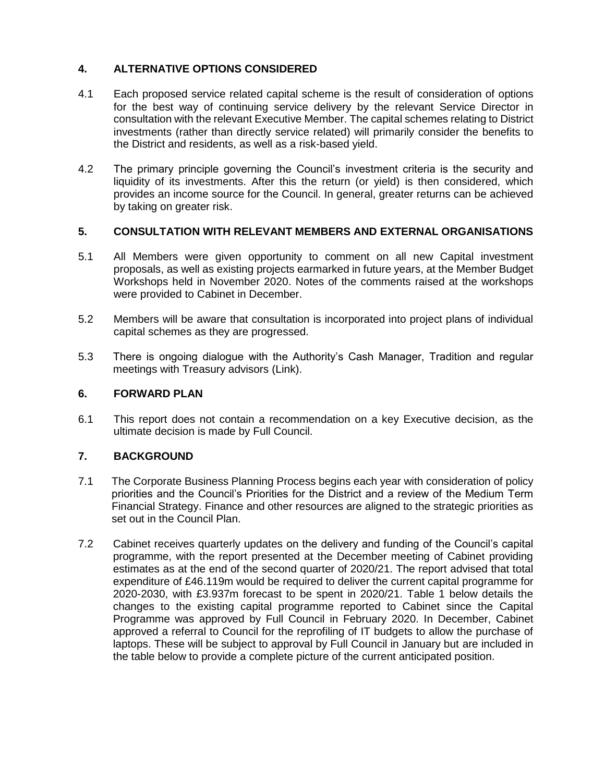# **4. ALTERNATIVE OPTIONS CONSIDERED**

- 4.1 Each proposed service related capital scheme is the result of consideration of options for the best way of continuing service delivery by the relevant Service Director in consultation with the relevant Executive Member. The capital schemes relating to District investments (rather than directly service related) will primarily consider the benefits to the District and residents, as well as a risk-based yield.
- 4.2 The primary principle governing the Council's investment criteria is the security and liquidity of its investments. After this the return (or yield) is then considered, which provides an income source for the Council. In general, greater returns can be achieved by taking on greater risk.

#### **5. CONSULTATION WITH RELEVANT MEMBERS AND EXTERNAL ORGANISATIONS**

- 5.1 All Members were given opportunity to comment on all new Capital investment proposals, as well as existing projects earmarked in future years, at the Member Budget Workshops held in November 2020. Notes of the comments raised at the workshops were provided to Cabinet in December.
- 5.2 Members will be aware that consultation is incorporated into project plans of individual capital schemes as they are progressed.
- 5.3 There is ongoing dialogue with the Authority's Cash Manager, Tradition and regular meetings with Treasury advisors (Link).

### **6. FORWARD PLAN**

6.1 This report does not contain a recommendation on a key Executive decision, as the ultimate decision is made by Full Council.

## **7. BACKGROUND**

- 7.1 The Corporate Business Planning Process begins each year with consideration of policy priorities and the Council's Priorities for the District and a review of the Medium Term Financial Strategy. Finance and other resources are aligned to the strategic priorities as set out in the Council Plan.
- 7.2 Cabinet receives quarterly updates on the delivery and funding of the Council's capital programme, with the report presented at the December meeting of Cabinet providing estimates as at the end of the second quarter of 2020/21. The report advised that total expenditure of £46.119m would be required to deliver the current capital programme for 2020-2030, with £3.937m forecast to be spent in 2020/21. Table 1 below details the changes to the existing capital programme reported to Cabinet since the Capital Programme was approved by Full Council in February 2020. In December, Cabinet approved a referral to Council for the reprofiling of IT budgets to allow the purchase of laptops. These will be subject to approval by Full Council in January but are included in the table below to provide a complete picture of the current anticipated position.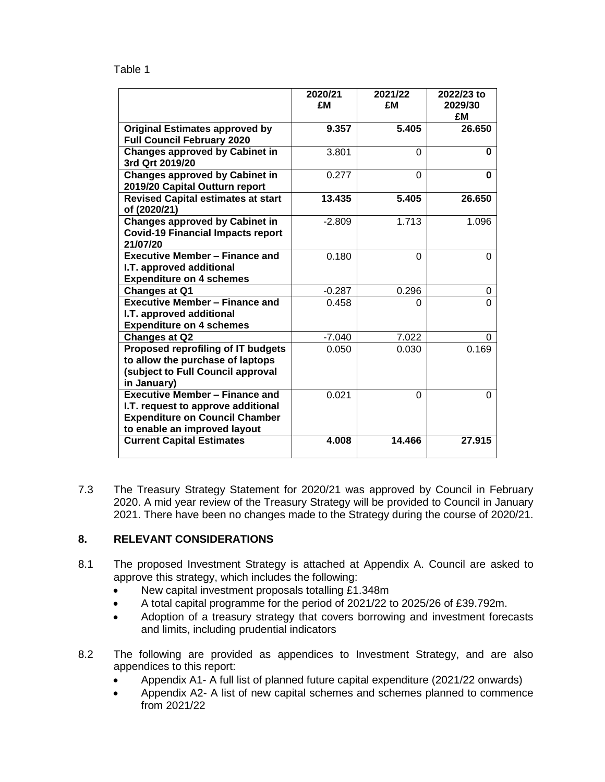#### Table 1

|                                                                                                                                                      | 2020/21<br>£M | 2021/22<br>£M | 2022/23 to<br>2029/30<br>£M |
|------------------------------------------------------------------------------------------------------------------------------------------------------|---------------|---------------|-----------------------------|
| <b>Original Estimates approved by</b><br><b>Full Council February 2020</b>                                                                           | 9.357         | 5.405         | 26.650                      |
| <b>Changes approved by Cabinet in</b><br>3rd Qrt 2019/20                                                                                             | 3.801         | $\Omega$      | 0                           |
| <b>Changes approved by Cabinet in</b><br>2019/20 Capital Outturn report                                                                              | 0.277         | $\Omega$      | 0                           |
| <b>Revised Capital estimates at start</b><br>of (2020/21)                                                                                            | 13.435        | 5.405         | 26.650                      |
| <b>Changes approved by Cabinet in</b><br><b>Covid-19 Financial Impacts report</b><br>21/07/20                                                        | $-2.809$      | 1.713         | 1.096                       |
| <b>Executive Member - Finance and</b><br>I.T. approved additional<br><b>Expenditure on 4 schemes</b>                                                 | 0.180         | $\Omega$      | 0                           |
| <b>Changes at Q1</b>                                                                                                                                 | -0.287        | 0.296         | 0                           |
| <b>Executive Member - Finance and</b><br>I.T. approved additional<br><b>Expenditure on 4 schemes</b>                                                 | 0.458         | 0             | $\Omega$                    |
| <b>Changes at Q2</b>                                                                                                                                 | $-7.040$      | 7.022         | 0                           |
| Proposed reprofiling of IT budgets<br>to allow the purchase of laptops<br>(subject to Full Council approval<br>in January)                           | 0.050         | 0.030         | 0.169                       |
| <b>Executive Member - Finance and</b><br>I.T. request to approve additional<br><b>Expenditure on Council Chamber</b><br>to enable an improved layout | 0.021         | $\Omega$      | 0                           |
| <b>Current Capital Estimates</b>                                                                                                                     | 4.008         | 14.466        | 27.915                      |

7.3 The Treasury Strategy Statement for 2020/21 was approved by Council in February 2020. A mid year review of the Treasury Strategy will be provided to Council in January 2021. There have been no changes made to the Strategy during the course of 2020/21.

## **8. RELEVANT CONSIDERATIONS**

- 8.1 The proposed Investment Strategy is attached at Appendix A. Council are asked to approve this strategy, which includes the following:
	- New capital investment proposals totalling £1.348m
	- A total capital programme for the period of 2021/22 to 2025/26 of £39.792m.
	- Adoption of a treasury strategy that covers borrowing and investment forecasts and limits, including prudential indicators
- 8.2 The following are provided as appendices to Investment Strategy, and are also appendices to this report:
	- Appendix A1- A full list of planned future capital expenditure (2021/22 onwards)
	- Appendix A2- A list of new capital schemes and schemes planned to commence from 2021/22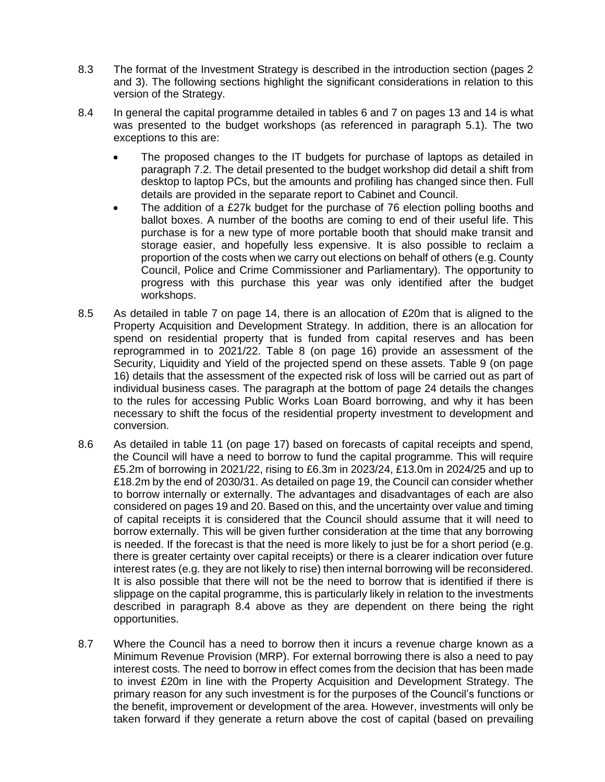- 8.3 The format of the Investment Strategy is described in the introduction section (pages 2 and 3). The following sections highlight the significant considerations in relation to this version of the Strategy.
- 8.4 In general the capital programme detailed in tables 6 and 7 on pages 13 and 14 is what was presented to the budget workshops (as referenced in paragraph 5.1). The two exceptions to this are:
	- The proposed changes to the IT budgets for purchase of laptops as detailed in paragraph 7.2. The detail presented to the budget workshop did detail a shift from desktop to laptop PCs, but the amounts and profiling has changed since then. Full details are provided in the separate report to Cabinet and Council.
	- The addition of a £27k budget for the purchase of 76 election polling booths and ballot boxes. A number of the booths are coming to end of their useful life. This purchase is for a new type of more portable booth that should make transit and storage easier, and hopefully less expensive. It is also possible to reclaim a proportion of the costs when we carry out elections on behalf of others (e.g. County Council, Police and Crime Commissioner and Parliamentary). The opportunity to progress with this purchase this year was only identified after the budget workshops.
- 8.5 As detailed in table 7 on page 14, there is an allocation of £20m that is aligned to the Property Acquisition and Development Strategy. In addition, there is an allocation for spend on residential property that is funded from capital reserves and has been reprogrammed in to 2021/22. Table 8 (on page 16) provide an assessment of the Security, Liquidity and Yield of the projected spend on these assets. Table 9 (on page 16) details that the assessment of the expected risk of loss will be carried out as part of individual business cases. The paragraph at the bottom of page 24 details the changes to the rules for accessing Public Works Loan Board borrowing, and why it has been necessary to shift the focus of the residential property investment to development and conversion.
- 8.6 As detailed in table 11 (on page 17) based on forecasts of capital receipts and spend, the Council will have a need to borrow to fund the capital programme. This will require £5.2m of borrowing in 2021/22, rising to £6.3m in 2023/24, £13.0m in 2024/25 and up to £18.2m by the end of 2030/31. As detailed on page 19, the Council can consider whether to borrow internally or externally. The advantages and disadvantages of each are also considered on pages 19 and 20. Based on this, and the uncertainty over value and timing of capital receipts it is considered that the Council should assume that it will need to borrow externally. This will be given further consideration at the time that any borrowing is needed. If the forecast is that the need is more likely to just be for a short period (e.g. there is greater certainty over capital receipts) or there is a clearer indication over future interest rates (e.g. they are not likely to rise) then internal borrowing will be reconsidered. It is also possible that there will not be the need to borrow that is identified if there is slippage on the capital programme, this is particularly likely in relation to the investments described in paragraph 8.4 above as they are dependent on there being the right opportunities.
- 8.7 Where the Council has a need to borrow then it incurs a revenue charge known as a Minimum Revenue Provision (MRP). For external borrowing there is also a need to pay interest costs. The need to borrow in effect comes from the decision that has been made to invest £20m in line with the Property Acquisition and Development Strategy. The primary reason for any such investment is for the purposes of the Council's functions or the benefit, improvement or development of the area. However, investments will only be taken forward if they generate a return above the cost of capital (based on prevailing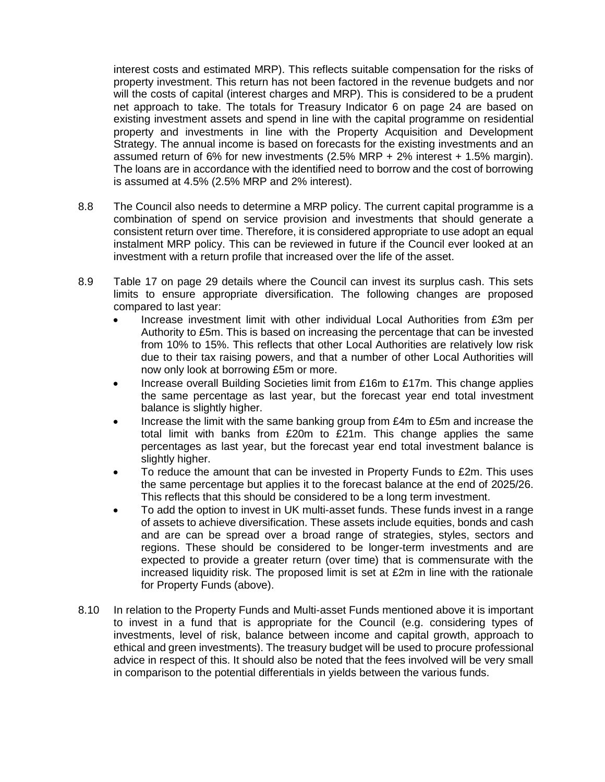interest costs and estimated MRP). This reflects suitable compensation for the risks of property investment. This return has not been factored in the revenue budgets and nor will the costs of capital (interest charges and MRP). This is considered to be a prudent net approach to take. The totals for Treasury Indicator 6 on page 24 are based on existing investment assets and spend in line with the capital programme on residential property and investments in line with the Property Acquisition and Development Strategy. The annual income is based on forecasts for the existing investments and an assumed return of 6% for new investments (2.5% MRP + 2% interest + 1.5% margin). The loans are in accordance with the identified need to borrow and the cost of borrowing is assumed at 4.5% (2.5% MRP and 2% interest).

- 8.8 The Council also needs to determine a MRP policy. The current capital programme is a combination of spend on service provision and investments that should generate a consistent return over time. Therefore, it is considered appropriate to use adopt an equal instalment MRP policy. This can be reviewed in future if the Council ever looked at an investment with a return profile that increased over the life of the asset.
- 8.9 Table 17 on page 29 details where the Council can invest its surplus cash. This sets limits to ensure appropriate diversification. The following changes are proposed compared to last year:
	- Increase investment limit with other individual Local Authorities from £3m per Authority to £5m. This is based on increasing the percentage that can be invested from 10% to 15%. This reflects that other Local Authorities are relatively low risk due to their tax raising powers, and that a number of other Local Authorities will now only look at borrowing £5m or more.
	- Increase overall Building Societies limit from £16m to £17m. This change applies the same percentage as last year, but the forecast year end total investment balance is slightly higher.
	- Increase the limit with the same banking group from £4m to £5m and increase the total limit with banks from £20m to £21m. This change applies the same percentages as last year, but the forecast year end total investment balance is slightly higher.
	- To reduce the amount that can be invested in Property Funds to £2m. This uses the same percentage but applies it to the forecast balance at the end of 2025/26. This reflects that this should be considered to be a long term investment.
	- To add the option to invest in UK multi-asset funds. These funds invest in a range of assets to achieve diversification. These assets include equities, bonds and cash and are can be spread over a broad range of strategies, styles, sectors and regions. These should be considered to be longer-term investments and are expected to provide a greater return (over time) that is commensurate with the increased liquidity risk. The proposed limit is set at £2m in line with the rationale for Property Funds (above).
- 8.10 In relation to the Property Funds and Multi-asset Funds mentioned above it is important to invest in a fund that is appropriate for the Council (e.g. considering types of investments, level of risk, balance between income and capital growth, approach to ethical and green investments). The treasury budget will be used to procure professional advice in respect of this. It should also be noted that the fees involved will be very small in comparison to the potential differentials in yields between the various funds.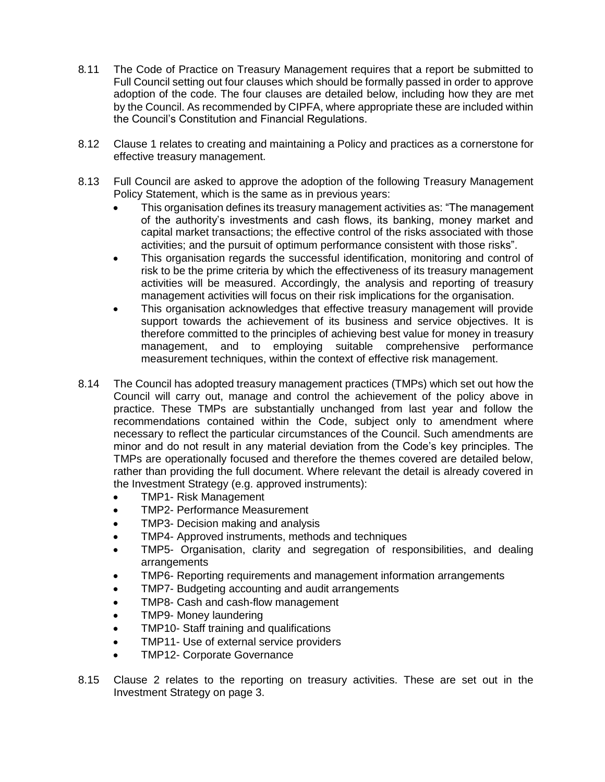- 8*.*11 The Code of Practice on Treasury Management requires that a report be submitted to Full Council setting out four clauses which should be formally passed in order to approve adoption of the code. The four clauses are detailed below, including how they are met by the Council. As recommended by CIPFA, where appropriate these are included within the Council's Constitution and Financial Regulations.
- 8.12 Clause 1 relates to creating and maintaining a Policy and practices as a cornerstone for effective treasury management.
- 8.13 Full Council are asked to approve the adoption of the following Treasury Management Policy Statement, which is the same as in previous years:
	- This organisation defines its treasury management activities as: "The management of the authority's investments and cash flows, its banking, money market and capital market transactions; the effective control of the risks associated with those activities; and the pursuit of optimum performance consistent with those risks".
	- This organisation regards the successful identification, monitoring and control of risk to be the prime criteria by which the effectiveness of its treasury management activities will be measured. Accordingly, the analysis and reporting of treasury management activities will focus on their risk implications for the organisation.
	- This organisation acknowledges that effective treasury management will provide support towards the achievement of its business and service objectives. It is therefore committed to the principles of achieving best value for money in treasury management, and to employing suitable comprehensive performance measurement techniques, within the context of effective risk management.
- 8.14 The Council has adopted treasury management practices (TMPs) which set out how the Council will carry out, manage and control the achievement of the policy above in practice. These TMPs are substantially unchanged from last year and follow the recommendations contained within the Code, subject only to amendment where necessary to reflect the particular circumstances of the Council. Such amendments are minor and do not result in any material deviation from the Code's key principles. The TMPs are operationally focused and therefore the themes covered are detailed below, rather than providing the full document. Where relevant the detail is already covered in the Investment Strategy (e.g. approved instruments):
	- TMP1- Risk Management
	- TMP2- Performance Measurement
	- TMP3- Decision making and analysis
	- TMP4- Approved instruments, methods and techniques
	- TMP5- Organisation, clarity and segregation of responsibilities, and dealing arrangements
	- TMP6- Reporting requirements and management information arrangements
	- TMP7- Budgeting accounting and audit arrangements
	- TMP8- Cash and cash-flow management
	- TMP9- Money laundering
	- TMP10- Staff training and qualifications
	- TMP11- Use of external service providers
	- TMP12- Corporate Governance
- 8.15 Clause 2 relates to the reporting on treasury activities. These are set out in the Investment Strategy on page 3.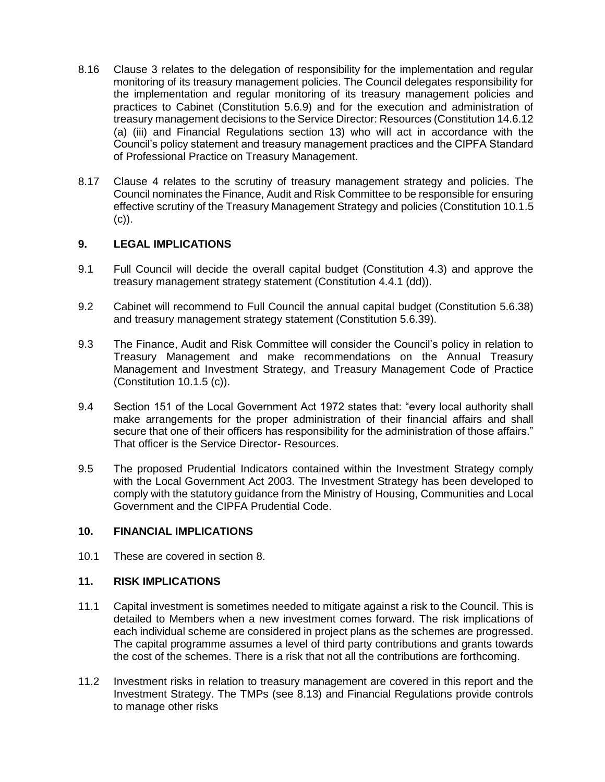- 8.16 Clause 3 relates to the delegation of responsibility for the implementation and regular monitoring of its treasury management policies. The Council delegates responsibility for the implementation and regular monitoring of its treasury management policies and practices to Cabinet (Constitution 5.6.9) and for the execution and administration of treasury management decisions to the Service Director: Resources (Constitution 14.6.12 (a) (iii) and Financial Regulations section 13) who will act in accordance with the Council's policy statement and treasury management practices and the CIPFA Standard of Professional Practice on Treasury Management.
- 8.17 Clause 4 relates to the scrutiny of treasury management strategy and policies. The Council nominates the Finance, Audit and Risk Committee to be responsible for ensuring effective scrutiny of the Treasury Management Strategy and policies (Constitution 10.1.5  $(c)$ ).

## **9. LEGAL IMPLICATIONS**

- 9.1 Full Council will decide the overall capital budget (Constitution 4.3) and approve the treasury management strategy statement (Constitution 4.4.1 (dd)).
- 9.2 Cabinet will recommend to Full Council the annual capital budget (Constitution 5.6.38) and treasury management strategy statement (Constitution 5.6.39).
- 9.3 The Finance, Audit and Risk Committee will consider the Council's policy in relation to Treasury Management and make recommendations on the Annual Treasury Management and Investment Strategy, and Treasury Management Code of Practice (Constitution 10.1.5 (c)).
- 9.4 Section 151 of the Local Government Act 1972 states that: "every local authority shall make arrangements for the proper administration of their financial affairs and shall secure that one of their officers has responsibility for the administration of those affairs." That officer is the Service Director- Resources.
- 9.5 The proposed Prudential Indicators contained within the Investment Strategy comply with the Local Government Act 2003. The Investment Strategy has been developed to comply with the statutory guidance from the Ministry of Housing, Communities and Local Government and the CIPFA Prudential Code.

## **10. FINANCIAL IMPLICATIONS**

10.1 These are covered in section 8.

#### **11. RISK IMPLICATIONS**

- 11.1 Capital investment is sometimes needed to mitigate against a risk to the Council. This is detailed to Members when a new investment comes forward. The risk implications of each individual scheme are considered in project plans as the schemes are progressed. The capital programme assumes a level of third party contributions and grants towards the cost of the schemes. There is a risk that not all the contributions are forthcoming.
- 11.2 Investment risks in relation to treasury management are covered in this report and the Investment Strategy. The TMPs (see 8.13) and Financial Regulations provide controls to manage other risks